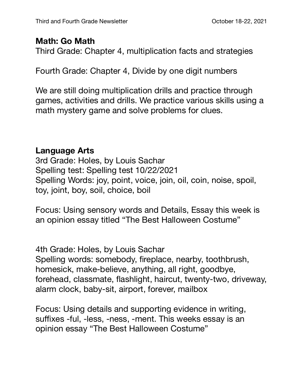## **Math: Go Math**

Third Grade: Chapter 4, multiplication facts and strategies

Fourth Grade: Chapter 4, Divide by one digit numbers

We are still doing multiplication drills and practice through games, activities and drills. We practice various skills using a math mystery game and solve problems for clues.

## **Language Arts**

3rd Grade: Holes, by Louis Sachar Spelling test: Spelling test 10/22/2021 Spelling Words: joy, point, voice, join, oil, coin, noise, spoil, toy, joint, boy, soil, choice, boil

Focus: Using sensory words and Details, Essay this week is an opinion essay titled "The Best Halloween Costume"

4th Grade: Holes, by Louis Sachar Spelling words: somebody, fireplace, nearby, toothbrush, homesick, make-believe, anything, all right, goodbye, forehead, classmate, flashlight, haircut, twenty-two, driveway, alarm clock, baby-sit, airport, forever, mailbox

Focus: Using details and supporting evidence in writing, suffixes -ful, -less, -ness, -ment. This weeks essay is an opinion essay "The Best Halloween Costume"